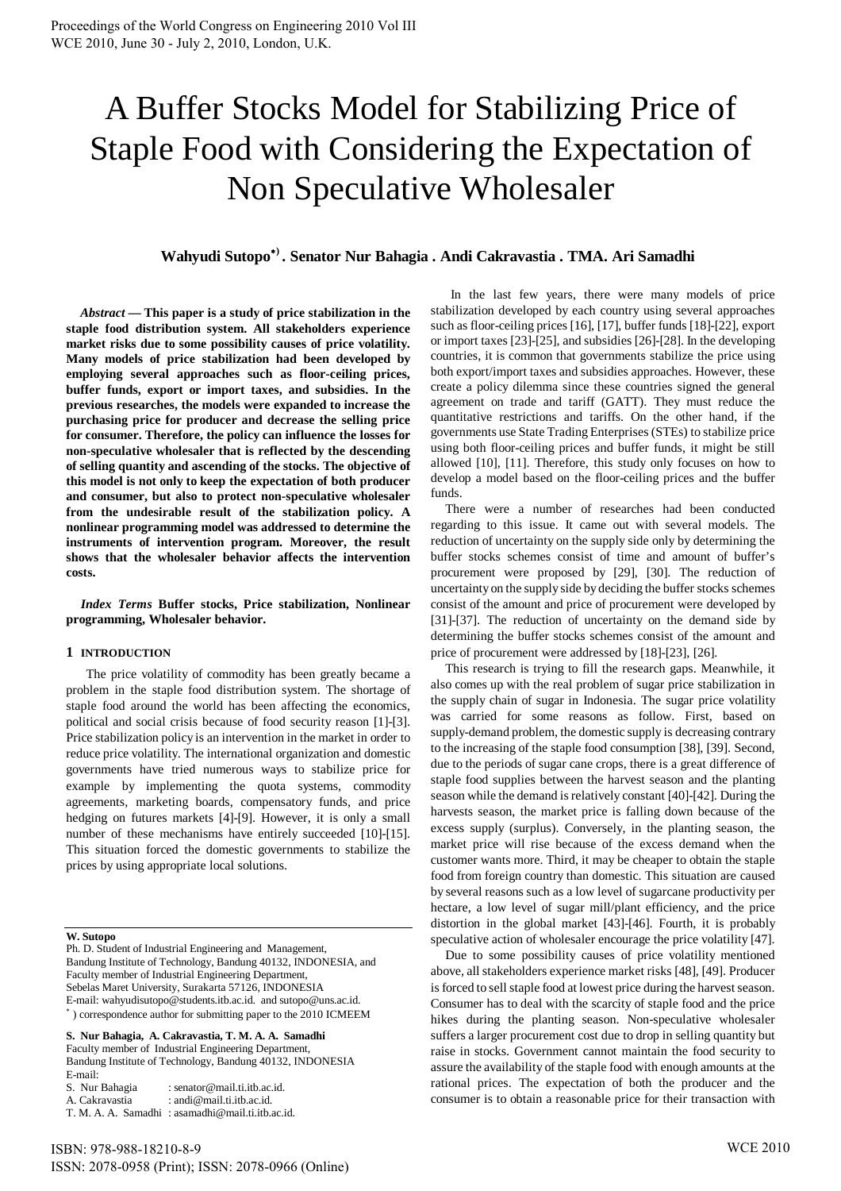# A Buffer Stocks Model for Stabilizing Price of Staple Food with Considering the Expectation of Non Speculative Wholesaler

# **Wahyudi Sutopo) . Senator Nur Bahagia . Andi Cakravastia . TMA. Ari Samadhi**

*Abstract* **— This paper is a study of price stabilization in the staple food distribution system. All stakeholders experience market risks due to some possibility causes of price volatility. Many models of price stabilization had been developed by employing several approaches such as floor-ceiling prices, buffer funds, export or import taxes, and subsidies. In the previous researches, the models were expanded to increase the purchasing price for producer and decrease the selling price for consumer. Therefore, the policy can influence the losses for non-speculative wholesaler that is reflected by the descending of selling quantity and ascending of the stocks. The objective of this model is not only to keep the expectation of both producer and consumer, but also to protect non-speculative wholesaler from the undesirable result of the stabilization policy. A nonlinear programming model was addressed to determine the instruments of intervention program. Moreover, the result shows that the wholesaler behavior affects the intervention costs.**

*Index Terms* **Buffer stocks, Price stabilization, Nonlinear programming, Wholesaler behavior.**

#### **1 INTRODUCTION**

The price volatility of commodity has been greatly became a problem in the staple food distribution system. The shortage of staple food around the world has been affecting the economics, political and social crisis because of food security reason [1]-[3]. Price stabilization policy is an intervention in the market in order to reduce price volatility. The international organization and domestic governments have tried numerous ways to stabilize price for example by implementing the quota systems, commodity agreements, marketing boards, compensatory funds, and price hedging on futures markets [4]-[9]. However, it is only a small number of these mechanisms have entirely succeeded [10]-[15]. This situation forced the domestic governments to stabilize the prices by using appropriate local solutions.

#### **W. Sutopo**

Ph. D. Student of Industrial Engineering and Management, Bandung Institute of Technology, Bandung 40132, INDONESIA, and Faculty member of Industrial Engineering Department, Sebelas Maret University, Surakarta 57126, INDONESIA E-mail: wahyudisutopo@students.itb.ac.id. and sutopo@uns.ac.id. ) correspondence author for submitting paper to the 2010 ICMEEM

**S. Nur Bahagia, A. Cakravastia, T. M. A. A. Samadhi** Faculty member of Industrial Engineering Department, Bandung Institute of Technology, Bandung 40132, INDONESIA E-mail:<br>S. Nur Bahagia : senator@mail.ti.itb.ac.id. A. Cakravastia : andi@mail.ti.itb.ac.id.

T. M. A. A. Samadhi : asamadhi@mail.ti.itb.ac.id.

In the last few years, there were many models of price stabilization developed by each country using several approaches such as floor-ceiling prices [16], [17], buffer funds [18]-[22], export or import taxes [23]-[25], and subsidies [26]-[28]. In the developing countries, it is common that governments stabilize the price using both export/import taxes and subsidies approaches. However, these create a policy dilemma since these countries signed the general agreement on trade and tariff (GATT). They must reduce the quantitative restrictions and tariffs. On the other hand, if the governments use State Trading Enterprises (STEs) to stabilize price using both floor-ceiling prices and buffer funds, it might be still allowed [10], [11]. Therefore, this study only focuses on how to develop a model based on the floor-ceiling prices and the buffer funds.

There were a number of researches had been conducted regarding to this issue. It came out with several models. The reduction of uncertainty on the supply side only by determining the buffer stocks schemes consist of time and amount of buffer's procurement were proposed by [29], [30]. The reduction of uncertainty on the supply side by deciding the buffer stocks schemes consist of the amount and price of procurement were developed by [31]-[37]. The reduction of uncertainty on the demand side by determining the buffer stocks schemes consist of the amount and price of procurement were addressed by [18]-[23], [26].

This research is trying to fill the research gaps. Meanwhile, it also comes up with the real problem of sugar price stabilization in the supply chain of sugar in Indonesia. The sugar price volatility was carried for some reasons as follow. First, based on supply-demand problem, the domestic supply is decreasing contrary to the increasing of the staple food consumption [38], [39]. Second, due to the periods of sugar cane crops, there is a great difference of staple food supplies between the harvest season and the planting season while the demand is relatively constant [40]-[42]. During the harvests season, the market price is falling down because of the excess supply (surplus). Conversely, in the planting season, the market price will rise because of the excess demand when the customer wants more. Third, it may be cheaper to obtain the staple food from foreign country than domestic. This situation are caused by several reasons such as a low level of sugarcane productivity per hectare, a low level of sugar mill/plant efficiency, and the price distortion in the global market [43]-[46]. Fourth, it is probably speculative action of wholesaler encourage the price volatility [47].

Due to some possibility causes of price volatility mentioned above, all stakeholders experience market risks [48], [49]. Producer is forced to sell staple food at lowest price during the harvest season. Consumer has to deal with the scarcity of staple food and the price hikes during the planting season. Non-speculative wholesaler suffers a larger procurement cost due to drop in selling quantity but raise in stocks. Government cannot maintain the food security to assure the availability of the staple food with enough amounts at the rational prices. The expectation of both the producer and the consumer is to obtain a reasonable price for their transaction with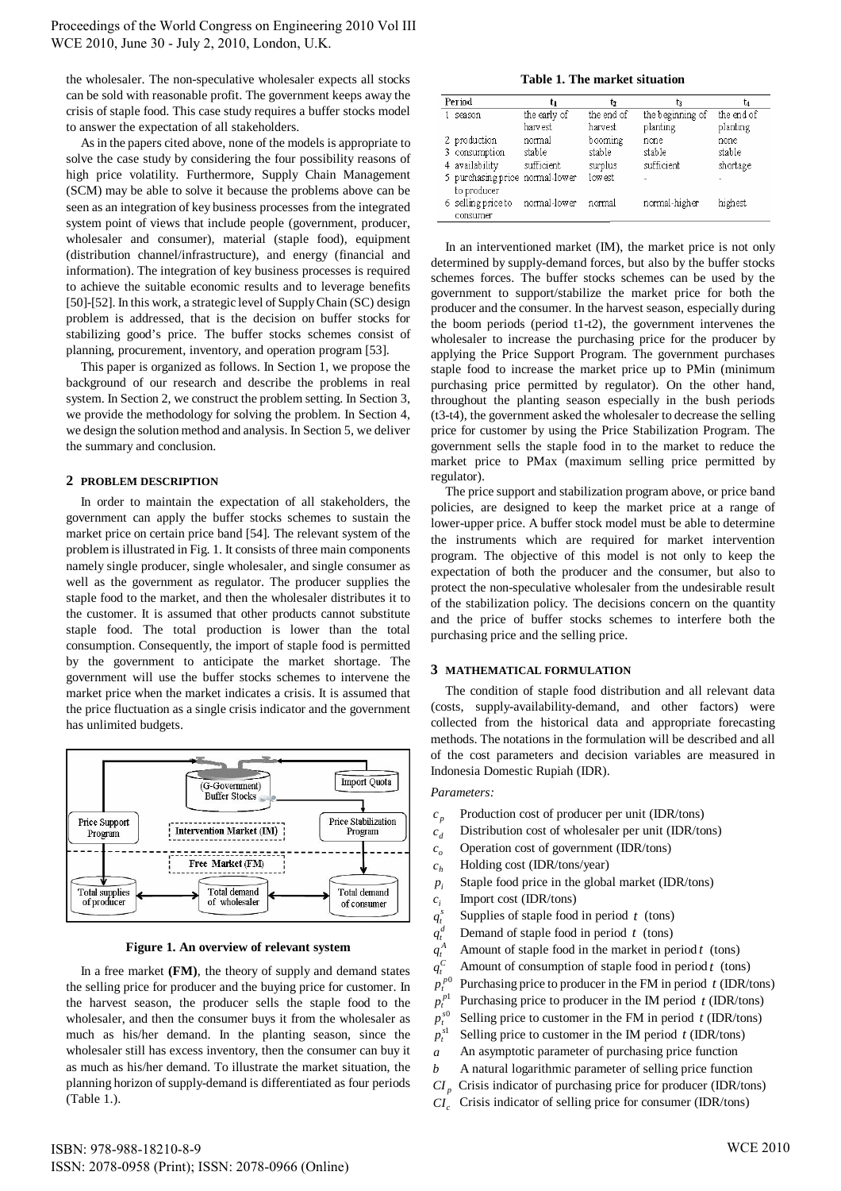the wholesaler. The non-speculative wholesaler expects all stocks can be sold with reasonable profit. The government keeps away the crisis of staple food. This case study requires a buffer stocks model to answer the expectation of all stakeholders.

As in the papers cited above, none of the models is appropriate to solve the case study by considering the four possibility reasons of high price volatility. Furthermore, Supply Chain Management (SCM) may be able to solve it because the problems above can be seen as an integration of key business processes from the integrated system point of views that include people (government, producer, wholesaler and consumer), material (staple food), equipment (distribution channel/infrastructure), and energy (financial and information). The integration of key business processes is required to achieve the suitable economic results and to leverage benefits [50]-[52]. In this work, a strategic level of Supply Chain (SC) design problem is addressed, that is the decision on buffer stocks for stabilizing good's price. The buffer stocks schemes consist of planning, procurement, inventory, and operation program [53].

This paper is organized as follows. In Section 1, we propose the background of our research and describe the problems in real system. In Section 2, we construct the problem setting. In Section 3, we provide the methodology for solving the problem. In Section 4, we design the solution method and analysis. In Section 5, we deliver the summary and conclusion.

#### **2 PROBLEM DESCRIPTION**

In order to maintain the expectation of all stakeholders, the government can apply the buffer stocks schemes to sustain the market price on certain price band [54]. The relevant system of the problem is illustrated in Fig. 1. It consists of three main components namely single producer, single wholesaler, and single consumer as well as the government as regulator. The producer supplies the staple food to the market, and then the wholesaler distributes it to the customer. It is assumed that other products cannot substitute staple food. The total production is lower than the total consumption. Consequently, the import of staple food is permitted by the government to anticipate the market shortage. The government will use the buffer stocks schemes to intervene the market price when the market indicates a crisis. It is assumed that the price fluctuation as a single crisis indicator and the government has unlimited budgets.



**Figure 1. An overview of relevant system**

In a free market **(FM)**, the theory of supply and demand states the selling price for producer and the buying price for customer. In the harvest season, the producer sells the staple food to the wholesaler, and then the consumer buys it from the wholesaler as much as his/her demand. In the planting season, since the wholesaler still has excess inventory, then the consumer can buy it as much as his/her demand. To illustrate the market situation, the planning horizon of supply-demand is differentiated as four periods (Table 1.).

**Table 1. The market situation**

| Period                          | tı           | ь          | Ŀз               |            |
|---------------------------------|--------------|------------|------------------|------------|
| season                          | the early of | the end of | the beginning of | the end of |
|                                 | harv est.    | harvest    | planting         | planting   |
| 2 production                    | normal       | booming    | none             | none       |
| 3 consumption                   | stable       | stable     | stable           | stable     |
| 4 availability                  | sufficient   | surplus    | sufficient       | shortage   |
| 5 purchasing price normal-lower |              | low est    | ٠                |            |
| to producer                     |              |            |                  |            |
| 6 selling price to              | normal-lower | normal     | normal-higher    | highest    |
| consumer                        |              |            |                  |            |

In an interventioned market (IM), the market price is not only determined by supply-demand forces, but also by the buffer stocks schemes forces. The buffer stocks schemes can be used by the government to support/stabilize the market price for both the producer and the consumer. In the harvest season, especially during the boom periods (period t1-t2), the government intervenes the wholesaler to increase the purchasing price for the producer by applying the Price Support Program. The government purchases staple food to increase the market price up to PMin (minimum purchasing price permitted by regulator). On the other hand, throughout the planting season especially in the bush periods (t3-t4), the government asked the wholesaler to decrease the selling price for customer by using the Price Stabilization Program. The government sells the staple food in to the market to reduce the market price to PMax (maximum selling price permitted by regulator).

The price support and stabilization program above, or price band policies, are designed to keep the market price at a range of lower-upper price. A buffer stock model must be able to determine the instruments which are required for market intervention program. The objective of this model is not only to keep the expectation of both the producer and the consumer, but also to protect the non-speculative wholesaler from the undesirable result of the stabilization policy. The decisions concern on the quantity and the price of buffer stocks schemes to interfere both the purchasing price and the selling price.

#### **3 MATHEMATICAL FORMULATION**

The condition of staple food distribution and all relevant data (costs, supply-availability-demand, and other factors) were collected from the historical data and appropriate forecasting methods. The notations in the formulation will be described and all of the cost parameters and decision variables are measured in Indonesia Domestic Rupiah (IDR).

#### *Parameters:*

- *p* Production cost of producer per unit (IDR/tons)
- *d* Distribution cost of wholesaler per unit (IDR/tons)
- *o c* Operation cost of government (IDR/tons)
- *h* Holding cost (IDR/tons/year)
- $p_i$  Staple food price in the global market (IDR/tons)
- *i* Import cost (IDR/tons)
- $q_t^s$ Supplies of staple food in period  $t$  (tons)
- $q_t^{\prime}$ Demand of staple food in period  $t$  (tons)
- $q_t^4$ Amount of staple food in the market in period  $t$  (tons)
- $q_t^{\prime}$ Amount of consumption of staple food in period  $t$  (tons)
- $p_t^{p0}$ *p<sup>t</sup>* Purchasing price to producer in the FM in period *t* (IDR/tons)
	- *p*1 *p<sup>t</sup>* Purchasing price to producer in the IM period *t* (IDR/tons)
- *s*0  $p_t^{s0}$  Selling price to customer in the FM in period *t* (IDR/tons)
- $p_t^{s1}$ Selling price to customer in the IM period  $t$  (IDR/tons)
- *a* An asymptotic parameter of purchasing price function
- *b* A natural logarithmic parameter of selling price function
- *CI <sup>p</sup>* Crisis indicator of purchasing price for producer (IDR/tons)
- *Crisis indicator of selling price for consumer (IDR/tons)*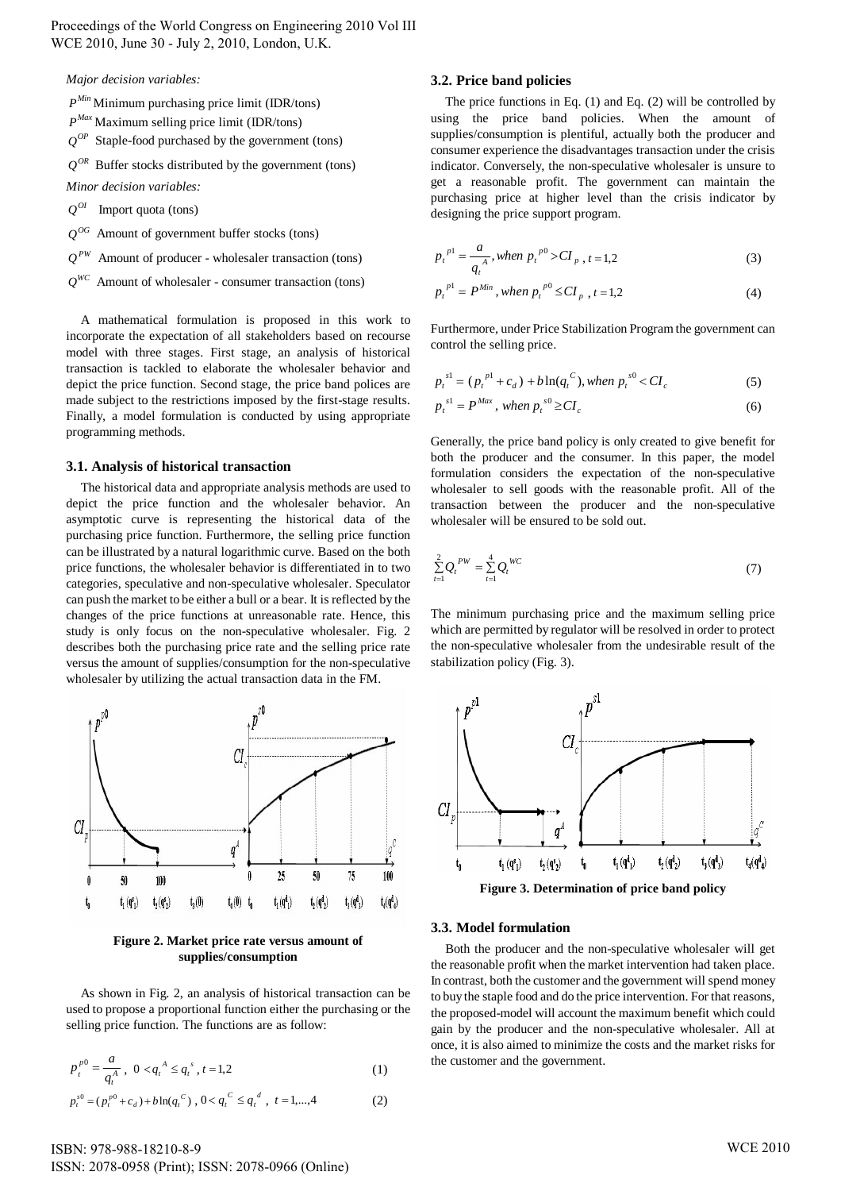Proceedings of the World Congress on Engineering 2010 Vol III WCE 2010, June 30 - July 2, 2010, London, U.K.

*Major decision variables:*

- *Min P* Minimum purchasing price limit (IDR/tons)
- *Max P* Maximum selling price limit (IDR/tons)
- $Q^{OP}$  Staple-food purchased by the government (tons)
- $Q^{OR}$  Buffer stocks distributed by the government (tons)

*Minor decision variables:*

- $Q^{OI}$  Import quota (tons)
- $Q^{OG}$  Amount of government buffer stocks (tons)
- $Q^{PW}$  Amount of producer wholesaler transaction (tons)
- $Q^{WC}$  Amount of wholesaler consumer transaction (tons)

A mathematical formulation is proposed in this work to incorporate the expectation of all stakeholders based on recourse model with three stages. First stage, an analysis of historical transaction is tackled to elaborate the wholesaler behavior and depict the price function. Second stage, the price band polices are made subject to the restrictions imposed by the first-stage results. Finally, a model formulation is conducted by using appropriate programming methods.

#### **3.1. Analysis of historical transaction**

The historical data and appropriate analysis methods are used to depict the price function and the wholesaler behavior. An asymptotic curve is representing the historical data of the purchasing price function. Furthermore, the selling price function can be illustrated by a natural logarithmic curve. Based on the both price functions, the wholesaler behavior is differentiated in to two categories, speculative and non-speculative wholesaler. Speculator can push the market to be either a bull or a bear. It is reflected by the changes of the price functions at unreasonable rate. Hence, this study is only focus on the non-speculative wholesaler. Fig. 2 describes both the purchasing price rate and the selling price rate versus the amount of supplies/consumption for the non-speculative wholesaler by utilizing the actual transaction data in the FM.



**Figure 2. Market price rate versus amount of supplies/consumption**

As shown in Fig. 2, an analysis of historical transaction can be used to propose a proportional function either the purchasing or the selling price function. The functions are as follow:

$$
p_t^{p0} = \frac{a}{q_t^A}, \ 0 < q_t^A \le q_t^s, \ t = 1, 2 \tag{1}
$$

$$
p_t^{s0} = (p_t^{p0} + c_d) + b \ln(q_t^{C}), 0 < q_t^{C} \le q_t^{d}, t = 1, ..., 4
$$
 (2)

# **3.2. Price band policies**

The price functions in Eq. (1) and Eq. (2) will be controlled by using the price band policies. When the amount of supplies/consumption is plentiful, actually both the producer and consumer experience the disadvantages transaction under the crisis indicator. Conversely, the non-speculative wholesaler is unsure to get a reasonable profit. The government can maintain the purchasing price at higher level than the crisis indicator by designing the price support program.

$$
p_t^{p1} = \frac{a}{q_t^A}, \text{ when } p_t^{p0} > CI_{p}, t = 1,2 \tag{3}
$$

$$
p_t^{p1} = P^{Min}, when \ p_t^{p0} \le CI_p, t = 1, 2
$$
 (4)

Furthermore, under Price Stabilization Program the government can control the selling price.

$$
p_t^{s!} = (p_t^{p!} + c_d) + b \ln(q_t^{C}), \text{ when } p_t^{s0} < CI_c \tag{5}
$$

$$
p_t^{sl} = P^{Max}, \text{ when } p_t^{s0} \geq CI_c \tag{6}
$$

Generally, the price band policy is only created to give benefit for both the producer and the consumer. In this paper, the model formulation considers the expectation of the non-speculative wholesaler to sell goods with the reasonable profit. All of the transaction between the producer and the non-speculative wholesaler will be ensured to be sold out.

$$
\sum_{t=1}^{2} Q_t^{PW} = \sum_{t=1}^{4} Q_t^{WC}
$$
\n(7)

The minimum purchasing price and the maximum selling price which are permitted by regulator will be resolved in order to protect the non-speculative wholesaler from the undesirable result of the stabilization policy (Fig. 3).



#### **3.3. Model formulation**

Both the producer and the non-speculative wholesaler will get the reasonable profit when the market intervention had taken place. In contrast, both the customer and the government will spend money to buy the staple food and do the price intervention. For that reasons, the proposed-model will account the maximum benefit which could gain by the producer and the non-speculative wholesaler. All at once, it is also aimed to minimize the costs and the market risks for the customer and the government.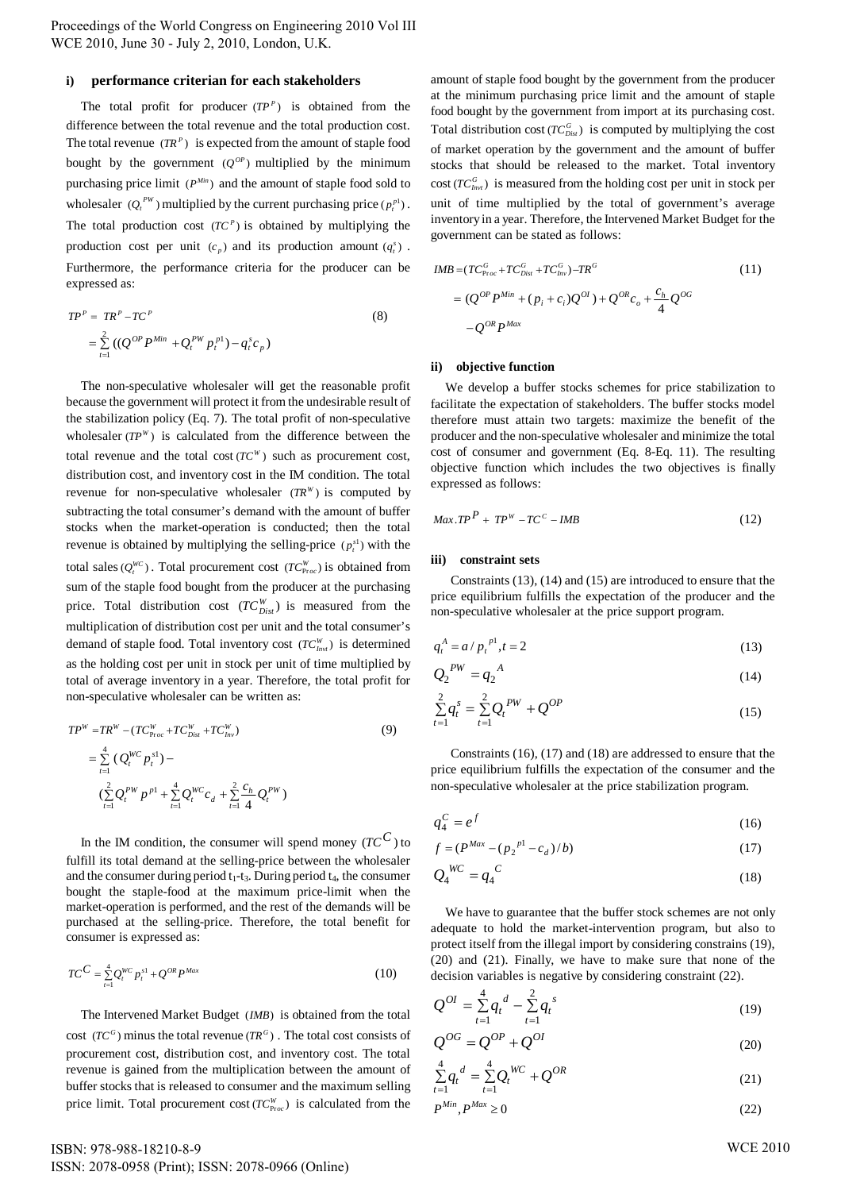Proceedings of the World Congress on Engineering 2010 Vol III WCE 2010, June 30 - July 2, 2010, London, U.K.

#### **i) performance criterian for each stakeholders**

The total profit for producer  $(TP^P)$  is obtained from the difference between the total revenue and the total production cost. The total revenue  $(TR^P)$  is expected from the amount of staple food bought by the government  $(Q^{OP})$  multiplied by the minimum purchasing price limit  $(P^{Min})$  and the amount of staple food sold to wholesaler  $(Q_t^{PW})$  multiplied by the current purchasing price  $(p_t^{p_1})$ . The total production cost  $(TC<sup>P</sup>)$  is obtained by multiplying the production cost per unit  $(c_p)$  and its production amount  $(q_i^s)$ . Furthermore, the performance criteria for the producer can be expressed as:

$$
TP^{P} = TR^{P} - TC^{P}
$$
  
=  $\sum_{t=1}^{2} ((Q^{OP} P^{Min} + Q_{t}^{PW} p_{t}^{P1}) - q_{t}^{s} c_{p})$  (8)

The non-speculative wholesaler will get the reasonable profit because the government will protect it from the undesirable result of the stabilization policy (Eq. 7). The total profit of non-speculative wholesaler  $(TP^W)$  is calculated from the difference between the total revenue and the total cost  $(TC^W)$  such as procurement cost, distribution cost, and inventory cost in the IM condition. The total revenue for non-speculative wholesaler  $(TR^W)$  is computed by subtracting the total consumer's demand with the amount of buffer stocks when the market-operation is conducted; then the total revenue is obtained by multiplying the selling-price  $(p_i^{\text{sl}})$  with the total sales ( $Q_t^{WC}$ ). Total procurement cost ( $TC_{Proc}^W$ ) is obtained from sum of the staple food bought from the producer at the purchasing price. Total distribution cost  $(TC_{Dist}^W)$  is measured from the multiplication of distribution cost per unit and the total consumer's demand of staple food. Total inventory cost  $(TC_{Inv}^W)$  is determined as the holding cost per unit in stock per unit of time multiplied by total of average inventory in a year. Therefore, the total profit for non-speculative wholesaler can be written as:

$$
TP^{W} = TR^{W} - (TC_{Proc}^{W} + TC_{Dist}^{W} + TC_{Inv}^{W})
$$
\n
$$
= \sum_{t=1}^{4} (Q_{t}^{WC} p_{t}^{sl}) -
$$
\n
$$
(\sum_{t=1}^{2} Q_{t}^{PW} p_{t}^{pl} + \sum_{t=1}^{4} Q_{t}^{WC} c_{d} + \sum_{t=1}^{2} \frac{c_{h}}{4} Q_{t}^{PW})
$$
\n(9)

In the IM condition, the consumer will spend money  $(TC^C)$  to fulfill its total demand at the selling-price between the wholesaler and the consumer during period  $t_1-t_3$ . During period  $t_4$ , the consumer bought the staple-food at the maximum price-limit when the market-operation is performed, and the rest of the demands will be purchased at the selling-price. Therefore, the total benefit for consumer is expressed as:

$$
TC^{C} = \sum_{t=1}^{4} Q_{t}^{WC} p_{t}^{sl} + Q^{OR} P^{Max}
$$
 (10)

The Intervened Market Budget (*IMB*) is obtained from the total cost  $(TC^G)$  minus the total revenue  $(TR^G)$ . The total cost consists of procurement cost, distribution cost, and inventory cost. The total revenue is gained from the multiplication between the amount of buffer stocks that is released to consumer and the maximum selling price limit. Total procurement cost  $(TC_{Proc}^W)$  is calculated from the

amount of staple food bought by the government from the producer at the minimum purchasing price limit and the amount of staple food bought by the government from import at its purchasing cost. Total distribution cost ( $TC_{Dist}^G$ ) is computed by multiplying the cost of market operation by the government and the amount of buffer stocks that should be released to the market. Total inventory  $\text{cost}(TC_{\text{Inv}^G}^G)$  is measured from the holding cost per unit in stock per unit of time multiplied by the total of government's average inventory in a year. Therefore, the Intervened Market Budget for the government can be stated as follows:

$$
IMB = (TC_{Proc}^{G} + TC_{Dis}^{G} + TC_{Inv}^{G}) - TR^{G}
$$
\n
$$
= (Q^{OP}P^{Min} + (p_{i} + c_{i})Q^{OI}) + Q^{OR}c_{o} + \frac{c_{h}}{4}Q^{OG}
$$
\n
$$
-Q^{OR}P^{Max}
$$
\n(11)

#### **ii) objective function**

We develop a buffer stocks schemes for price stabilization to facilitate the expectation of stakeholders. The buffer stocks model therefore must attain two targets: maximize the benefit of the producer and the non-speculative wholesaler and minimize the total cost of consumer and government (Eq. 8-Eq. 11). The resulting objective function which includes the two objectives is finally expressed as follows:

$$
Max.TPP + TPW - TCC - IMB
$$
 (12)

#### **iii) constraint sets**

Constraints (13), (14) and (15) are introduced to ensure that the price equilibrium fulfills the expectation of the producer and the non-speculative wholesaler at the price support program.

$$
q_t^A = a / p_t^{p1}, t = 2 \tag{13}
$$

$$
Q_2^{PW} = q_2^{A} \tag{14}
$$

$$
\sum_{t=1}^{2} q_t^s = \sum_{t=1}^{2} Q_t^{PW} + Q^{OP}
$$
\n(15)

Constraints (16), (17) and (18) are addressed to ensure that the price equilibrium fulfills the expectation of the consumer and the non-speculative wholesaler at the price stabilization program.

$$
q_4^C = e^f \tag{16}
$$

$$
f = (P^{Max} - (p_2^{pl} - c_d)/b)
$$
 (17)

$$
Q_4^{WC} = q_4^C \tag{18}
$$

We have to guarantee that the buffer stock schemes are not only adequate to hold the market-intervention program, but also to protect itself from the illegal import by considering constrains (19), (20) and (21). Finally, we have to make sure that none of the decision variables is negative by considering constraint (22).

$$
Q^{OI} = \sum_{t=1}^{4} q_t^d - \sum_{t=1}^{2} q_t^s
$$
 (19)

$$
Q^{OG} = Q^{OP} + Q^{OI} \tag{20}
$$

$$
\sum_{t=1}^{4} q_t^d = \sum_{t=1}^{4} Q_t^{WC} + Q^{OR}
$$
\n(21)

$$
P^{Min}, P^{Max} \ge 0 \tag{22}
$$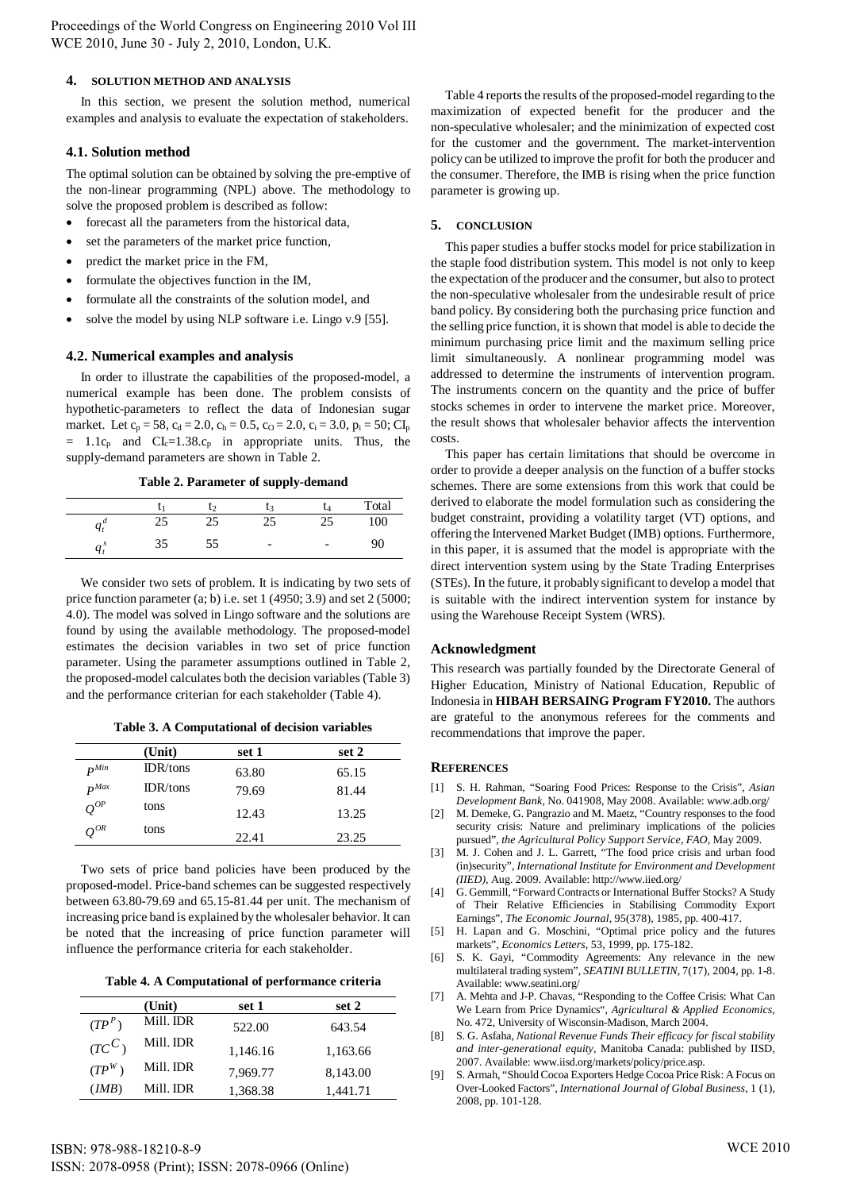## **4. SOLUTION METHOD AND ANALYSIS**

In this section, we present the solution method, numerical examples and analysis to evaluate the expectation of stakeholders.

# **4.1. Solution method**

The optimal solution can be obtained by solving the pre-emptive of the non-linear programming (NPL) above. The methodology to solve the proposed problem is described as follow:

- forecast all the parameters from the historical data,
- set the parameters of the market price function,
- predict the market price in the FM,
- formulate the objectives function in the IM,
- formulate all the constraints of the solution model, and
- solve the model by using NLP software i.e. Lingo v.9 [55].

# **4.2. Numerical examples and analysis**

In order to illustrate the capabilities of the proposed-model, a numerical example has been done. The problem consists of hypothetic-parameters to reflect the data of Indonesian sugar market. Let  $c_p = 58$ ,  $c_d = 2.0$ ,  $c_h = 0.5$ ,  $c_0 = 2.0$ ,  $c_i = 3.0$ ,  $p_i = 50$ ; CI<sub>p</sub>  $= 1.1c_p$  and  $CI_c=1.38.c_p$  in appropriate units. Thus, the supply-demand parameters are shown in Table 2.

 **Table 2. Parameter of supply-demand** 

|    |    |                          | Total |
|----|----|--------------------------|-------|
| Ч1 | 25 | 25                       | 100   |
|    | ככ | $\overline{\phantom{a}}$ | 90    |

We consider two sets of problem. It is indicating by two sets of price function parameter (a; b) i.e. set 1 (4950; 3.9) and set 2 (5000; 4.0). The model was solved in Lingo software and the solutions are found by using the available methodology. The proposed-model estimates the decision variables in two set of price function parameter. Using the parameter assumptions outlined in Table 2, the proposed-model calculates both the decision variables (Table 3) and the performance criterian for each stakeholder (Table 4).

 **Table 3. A Computational of decision variables**

|                         | (Unit)   | set 1 | set 2 |
|-------------------------|----------|-------|-------|
| $\mathbf{p}^{Min}$      | IDR/tons | 63.80 | 65.15 |
| $\mathbf{p}$ <i>Max</i> | IDR/tons | 79.69 | 81.44 |
| $Q^{OP}$                | tons     | 12.43 | 13.25 |
| $\varrho^{_{OR}}$       | tons     | 22.41 | 23.25 |

Two sets of price band policies have been produced by the proposed-model. Price-band schemes can be suggested respectively between 63.80-79.69 and 65.15-81.44 per unit. The mechanism of increasing price band is explained by the wholesaler behavior. It can be noted that the increasing of price function parameter will influence the performance criteria for each stakeholder.

 **Table 4. A Computational of performance criteria** 

|          | (Unit)    | set 1    | set 2    |
|----------|-----------|----------|----------|
| $(TP^P)$ | Mill. IDR | 522.00   | 643.54   |
| $(TC^C)$ | Mill. IDR | 1,146.16 | 1,163.66 |
| $(TP^W)$ | Mill. IDR | 7,969.77 | 8,143.00 |
| (MB)     | Mill. IDR | 1,368.38 | 1,441.71 |

Table 4 reports the results of the proposed-model regarding to the maximization of expected benefit for the producer and the non-speculative wholesaler; and the minimization of expected cost for the customer and the government. The market-intervention policy can be utilized to improve the profit for both the producer and the consumer. Therefore, the IMB is rising when the price function parameter is growing up.

# **5. CONCLUSION**

This paper studies a buffer stocks model for price stabilization in the staple food distribution system. This model is not only to keep the expectation of the producer and the consumer, but also to protect the non-speculative wholesaler from the undesirable result of price band policy. By considering both the purchasing price function and the selling price function, it is shown that model is able to decide the minimum purchasing price limit and the maximum selling price limit simultaneously. A nonlinear programming model was addressed to determine the instruments of intervention program. The instruments concern on the quantity and the price of buffer stocks schemes in order to intervene the market price. Moreover, the result shows that wholesaler behavior affects the intervention costs.

This paper has certain limitations that should be overcome in order to provide a deeper analysis on the function of a buffer stocks schemes. There are some extensions from this work that could be derived to elaborate the model formulation such as considering the budget constraint, providing a volatility target (VT) options, and offering the Intervened Market Budget (IMB) options. Furthermore, in this paper, it is assumed that the model is appropriate with the direct intervention system using by the State Trading Enterprises (STEs). In the future, it probably significant to develop a model that is suitable with the indirect intervention system for instance by using the Warehouse Receipt System (WRS).

# **Acknowledgment**

This research was partially founded by the Directorate General of Higher Education, Ministry of National Education, Republic of Indonesia in **HIBAH BERSAING Program FY2010.** The authors are grateful to the anonymous referees for the comments and recommendations that improve the paper.

### **REFERENCES**

- [1] S. H. Rahman, "Soaring Food Prices: Response to the Crisis", *Asian Development Bank,* No. 041908, May 2008. Available: www.adb.org/
- [2] M. Demeke, G. Pangrazio and M. Maetz, "Country responses to the food security crisis: Nature and preliminary implications of the policies pursued", *the Agricultural Policy Support Service, FAO*, May 2009.
- [3] M. J. Cohen and J. L. Garrett, "The food price crisis and urban food (in)security", *International Institute for Environment and Development (IIED),* Aug. 2009. Available: http://www.iied.org/
- [4] G. Gemmill, "Forward Contracts or International Buffer Stocks? A Study of Their Relative Efficiencies in Stabilising Commodity Export Earnings", *The Economic Journal,* 95(378), 1985, pp. 400-417.
- [5] H. Lapan and G. Moschini, "Optimal price policy and the futures markets", *Economics Letters,* 53, 1999, pp. 175-182.
- [6] S. K. Gayi, "Commodity Agreements: Any relevance in the new multilateral trading system", *SEATINI BULLETIN*, 7(17), 2004, pp. 1-8. Available: www.seatini.org/
- [7] A. Mehta and J-P. Chavas, "Responding to the Coffee Crisis: What Can We Learn from Price Dynamics", *Agricultural & Applied Economics,* No. 472, University of Wisconsin-Madison, March 2004.
- [8] S. G. Asfaha, *National Revenue Funds Their efficacy for fiscal stability and inter-generational equity*, Manitoba Canada: published by IISD, 2007. Available: www.iisd.org/markets/policy/price.asp.
- [9] S. Armah, "Should Cocoa Exporters Hedge Cocoa Price Risk: A Focus on Over-Looked Factors", *International Journal of Global Business*, 1 (1), 2008, pp. 101-128.